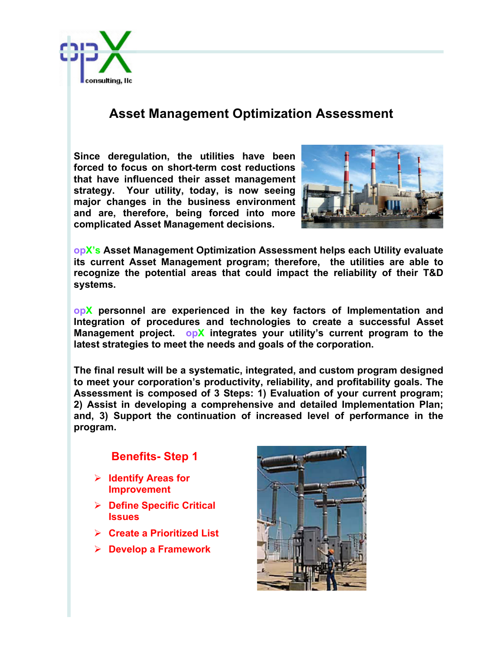

## **Asset Management Optimization Assessment**

**Since deregulation, the utilities have been forced to focus on short-term cost reductions that have influenced their asset management strategy. Your utility, today, is now seeing major changes in the business environment and are, therefore, being forced into more complicated Asset Management decisions.**



**opX's Asset Management Optimization Assessment helps each Utility evaluate its current Asset Management program; therefore, the utilities are able to recognize the potential areas that could impact the reliability of their T&D systems.** 

**opX personnel are experienced in the key factors of Implementation and Integration of procedures and technologies to create a successful Asset Management project. opX integrates your utility's current program to the latest strategies to meet the needs and goals of the corporation.** 

**The final result will be a systematic, integrated, and custom program designed to meet your corporation's productivity, reliability, and profitability goals. The Assessment is composed of 3 Steps: 1) Evaluation of your current program; 2) Assist in developing a comprehensive and detailed Implementation Plan; and, 3) Support the continuation of increased level of performance in the program.** 

## **Benefits- Step 1**

- Ø **Identify Areas for Improvement**
- Ø **Define Specific Critical Issues**
- Ø **Create a Prioritized List**
- Ø **Develop a Framework**